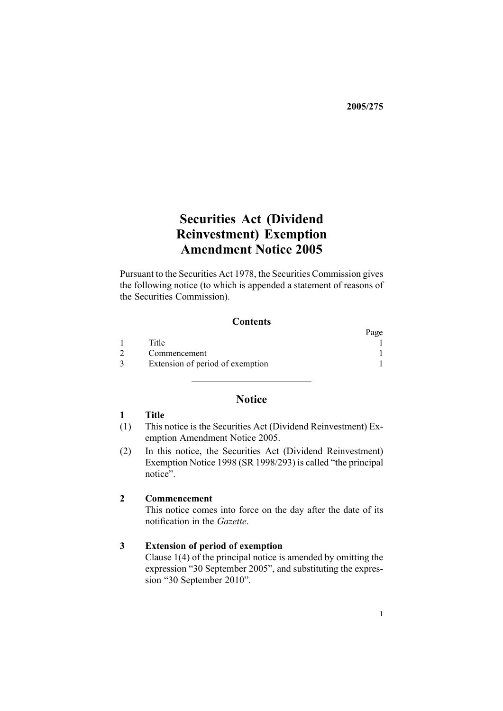**2005/275**

# **Securities Act (Dividend Reinvestment) Exemption Amendment Notice 2005**

Pursuant to the [Securities](http://www.legislation.govt.nz/pdfLink.aspx?id=DLM25999) Act 1978, the Securities Commission gives the following notice (to which is appended <sup>a</sup> statement of reasons of the Securities Commission).

# **Contents**

|                                  | Page |
|----------------------------------|------|
| Title                            |      |
| Commencement                     |      |
| Extension of period of exemption |      |

# **Notice**

# **1 Title**

- (1) This notice is the Securities Act (Dividend Reinvestment) Exemption Amendment Notice 2005.
- (2) In this notice, the Securities Act (Dividend [Reinvestment\)](http://www.legislation.govt.nz/pdfLink.aspx?id=DLM261557) [Exemption](http://www.legislation.govt.nz/pdfLink.aspx?id=DLM261557) Notice 1998 (SR 1998/293) is called "the principal notice".

### **2 Commencement**

This notice comes into force on the day after the date of its notification in the *Gazette*.

#### **3 Extension of period of exemption**

[Clause](http://www.legislation.govt.nz/pdfLink.aspx?id=DLM261561) 1(4) of the principal notice is amended by omitting the expression "30 September 2005", and substituting the expression "30 September 2010".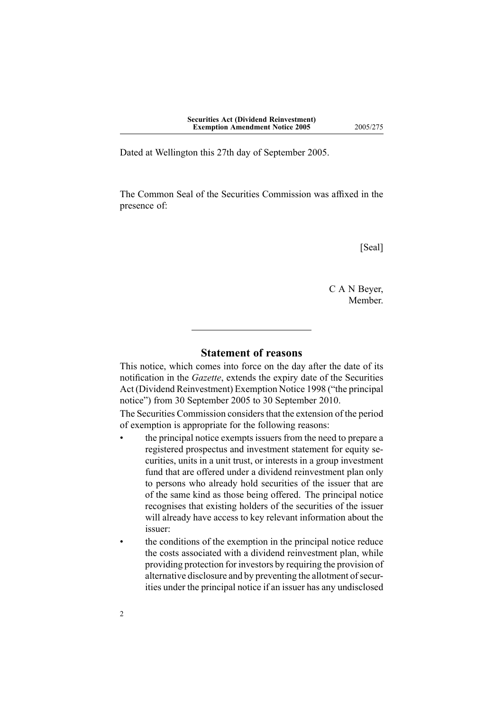Dated at Wellington this 27th day of September 2005.

The Common Seal of the Securities Commission was affixed in the presence of:

[Seal]

C A N Beyer, Member.

# **Statement of reasons**

This notice, which comes into force on the day after the date of its notification in the *Gazette*, extends the expiry date of the [Securities](http://www.legislation.govt.nz/pdfLink.aspx?id=DLM261557) Act (Dividend [Reinvestment\)](http://www.legislation.govt.nz/pdfLink.aspx?id=DLM261557) Exemption Notice 1998 ("the principal notice") from 30 September 2005 to 30 September 2010.

The Securities Commission considers that the extension of the period of exemption is appropriate for the following reasons:

- the principal notice exempts issuers from the need to prepare <sup>a</sup> registered prospectus and investment statement for equity securities, units in <sup>a</sup> unit trust, or interests in <sup>a</sup> group investment fund that are offered under <sup>a</sup> dividend reinvestment plan only to persons who already hold securities of the issuer that are of the same kind as those being offered. The principal notice recognises that existing holders of the securities of the issuer will already have access to key relevant information about the issuer:
- • the conditions of the exemption in the principal notice reduce the costs associated with <sup>a</sup> dividend reinvestment plan, while providing protection for investors by requiring the provision of alternative disclosure and by preventing the allotment of securities under the principal notice if an issuer has any undisclosed

•